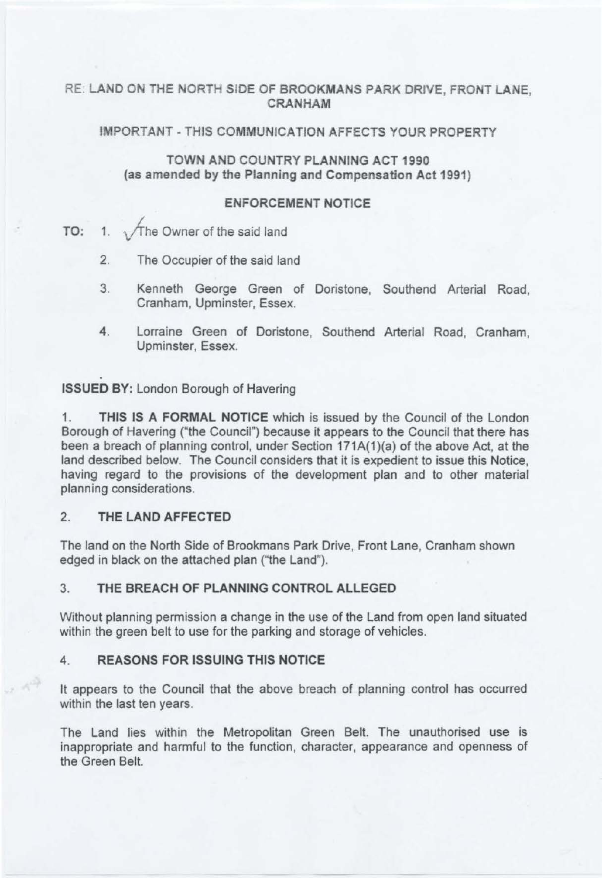# RE: **LANO ON** THE **NORTH SIDE OF BROOKMANS PARK DRIVE, FRONT LANE, CRANHAM**

## **IMPORTANT -THIS COMMUNICATION AFFECTS YOUR PROPERTY**

# **TOWN AND COUNTRY PLANNING ACT 1990 (as amended by the Planning and Compensation Act 1991)**

### **ENFORCEMENT NOTICE**

**TO:** 1.  $\sqrt{\ }$ The Owner of the said land

- 2. The Occupier of the said land
- 3. Kenneth George Green of Doristone, Southend Arterial Road, Cranham, Upminster, Essex.
- 4. Lorraine Green of Doristone, Southend Arterial Road, Cranham, Upminster, Essex.

**ISSUED BY:** London Borough of Havering

1. **THIS IS A FORMAL NOTICE** which is issued by the Council of the London Borough of Havering ("the Council") because it appears to the Council that there has been a breach of planning control, under Section 171A(1)(a) of the above Act, at the land described below. The Council considers that it is expedient to issue this Notice, having regard to the provisions of the development plan and to other material planning considerations.

# 2. **THE LAND AFFECTED**

 $x - 10^{2}$ 

The land on the North Side of Brookmans Park Drive, Front Lane, Cranham shown edged in black on the attached plan ("the Land").

# 3. **THE BREACH OF PLANNING CONTROL ALLEGED**

Without planning permission a change in the use of the Land from open land situated within the green belt to use for the parking and storage of vehicles.

# **4. REASONS FOR ISSUING THIS NOTICE**

It appears to the Council that the above breach of planning control has occurred within the last ten years.

The Land lies within the Metropolitan Green Belt. The unauthorised use is inappropriate and harmful to the function, character, appearance and openness of the Green Belt.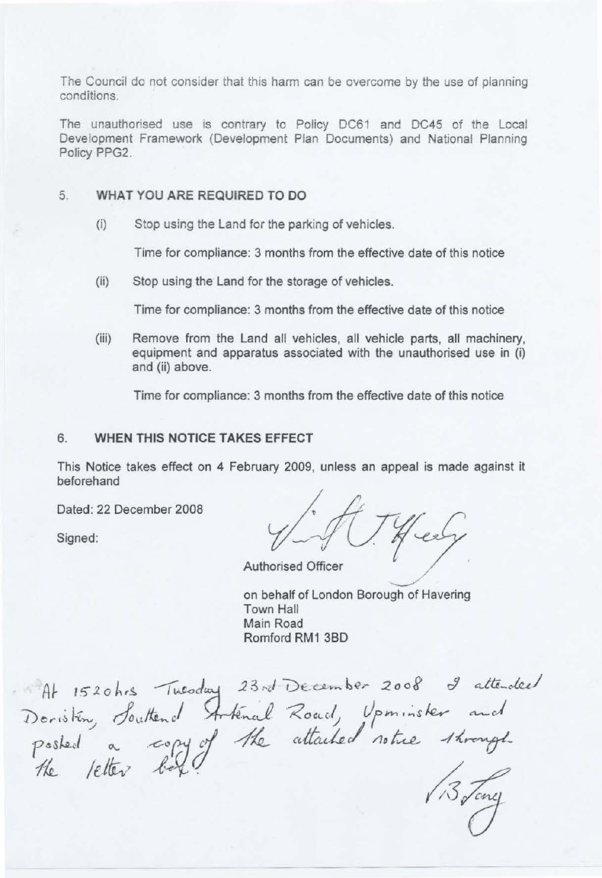The Council do not consider that this harm can be overcome by the use of planning conditions.

The unauthorised use is contrary to Policy DC61 and DC45 of the Local Development Framework (Development Plan Documents) and National Planning Policy PPG2.

### 5. **WHAT YOU ARE REQUIRED TO DO**

(i) Stop using the Land for the parking of vehicles.

Time for compliance: 3 months from the effective date of this notice

(ii} Stop using the Land for the storage of vehicles.

Time for compliance: 3 months from the effective date of this notice

(iii) Remove from the Land all vehicles, all vehicle parts, all machinery, equipment and apparatus associated with the unauthorised use in (i) and (ii} above.

Time for compliance: 3 months from the effective date of this notice

#### 6. **WHEN THIS NOTICE TAKES EFFECT**

This Notice takes effect on 4 February 2009, unless an appeal is made against it beforehand

Dated: 22 December 2008

Dated: 22 December 2008<br>Signed:  $\sqrt{\sqrt{7}}$ 

Authorised Officer

on behalf of London Borough of Havering Town Hall Main Road Romford RM1 380

At 1520hrs Tuesday 23rd December 2008 I attended At 1520hrs Tuesday 23rd December 2008 I attend<br>Doristin, Souttend Artenal Road, Upminister and<br>Posted a copy of the attached notice through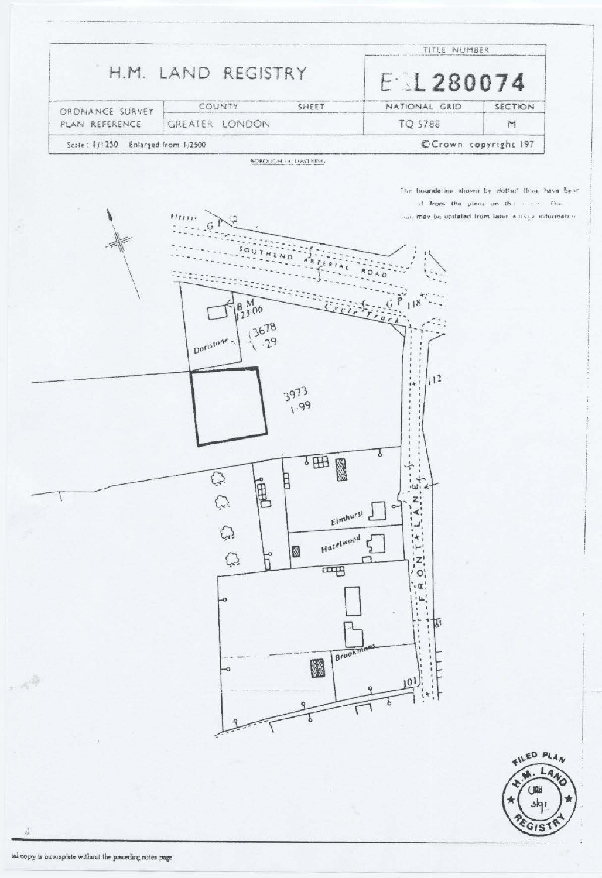| H.M. LAND REGISTRY                 |  | TITLE NUMBER<br>E1280074 |   |                                   |
|------------------------------------|--|--------------------------|---|-----------------------------------|
|                                    |  |                          |   | ORDNANCE SURVEY<br>PLAN REFERENCE |
| GREATER LONDON                     |  | TQ 5788                  | M |                                   |
| Scale: 1/1250 Enlarged from 1/2500 |  | OCrown copyright 197     |   |                                   |

The boundaries shown by dotter! flow have been of from the plans on the come. The national be updated from later waves information





ă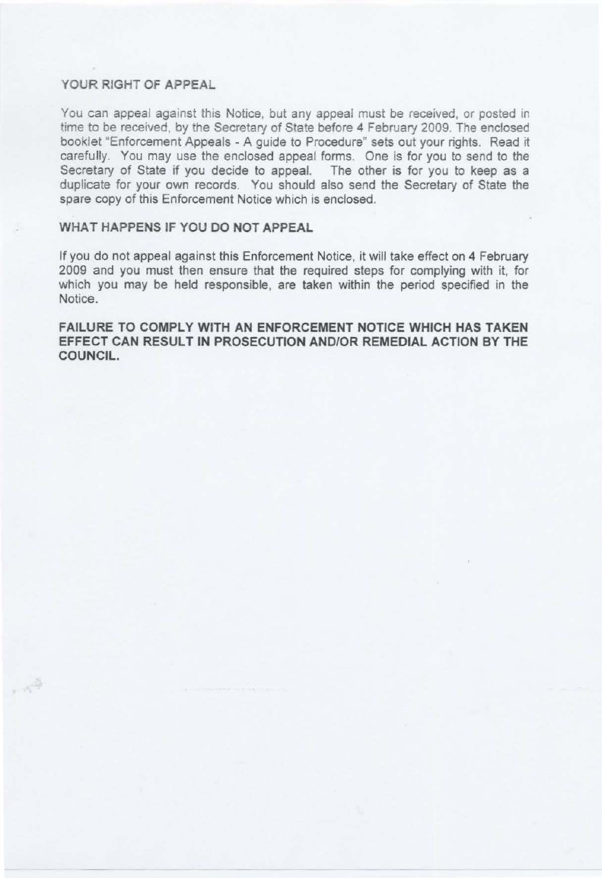## **YOUR RIGHT OF APPEAL**

 $,\wedge^{\tilde{\mathrm{Q}}}$ 

You can appeal against this Notice, but any appeal must be received, or posted in time to be received, by the Secretary of State before 4 February 2009. The enclosed booklet "Enforcement Appeals - A guide to Procedure" sets out your rights. Read it carefully. You may use the enclosed appeal forms. One is for you to send to the Secretary of State if you decide to appeal. The other is for you to keep as a duplicate for your own records. You should also send the Secretary of State the spare copy of this Enforcement Notice which is enclosed.

## **WHAT HAPPENS** IF **YOU DO NOT APPEAL**

If you do not appeal against this Enforcement Notice, it will take effect on 4 February 2009 and you must then ensure that the required steps for complying with it, for which you may be held responsible, are taken within the period specified in the Notice.

**FAILURE TO COMPLY WITH AN ENFORCEMENT NOTICE WHICH HAS TAKEN**  EFFECT CAN RESULT IN PROSECUTION AND/OR REMEDIAL ACTION BY THE COUNCIL.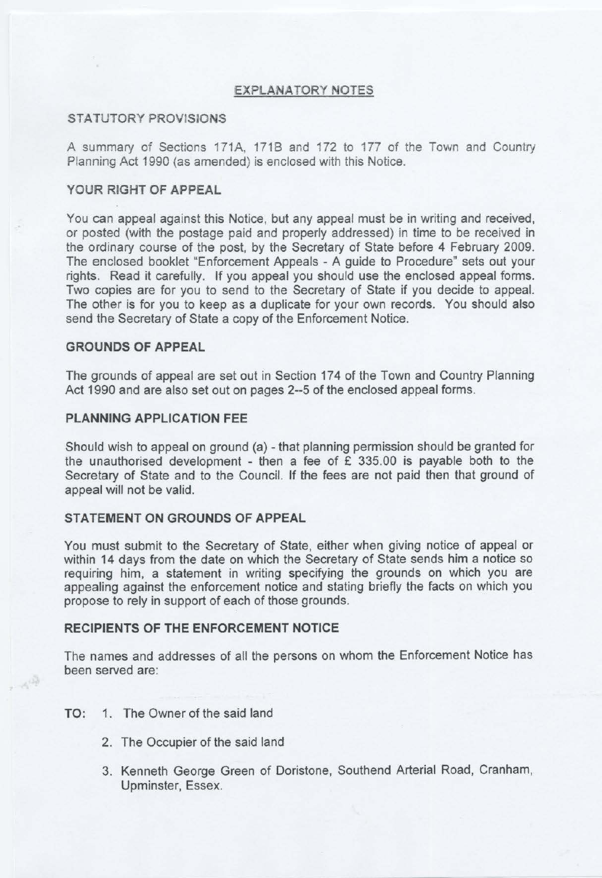### **EXPLANATORY NOTES**

### **STATUTORY PROVJSlONS**

A summary of Sections 171A, 1718 and 172 to 177 of the Town and Country Planning Act 1990 (as amended) is enclosed with this Notice.

## **YOUR RIGHT OF APPEAL**

You can appeal against this Notice, but any appeal must be in writing and received, or posted (with the postage paid and properly addressed) in time to be received in the ordinary course of the post, by the Secretary of State before 4 February 2009. The enclosed booklet "Enforcement Appeals - A guide to Procedure" sets out your rights. Read it carefully. If you appeal you should use the enclosed appeal forms. Two copies are for you to send to the Secretary of State if you decide to appeal. The other is for you to keep as a duplicate for your own records. You should also send the Secretary of State a copy of the Enforcement Notice.

#### **GROUNDS OF APPEAL**

The grounds of appeal are set out in Section 174 of the Town and Country Planning Act 1990 and are also set out on pages 2-5 of the enclosed appeal forms.

#### **PLANNING APPLICATION FEE**

Should wish to appeal on ground (a) - that planning permission should be granted for the unauthorised development - then a fee of  $E$  335.00 is payable both to the Secretary of State and to the Council. If the fees are not paid then that ground of appeal will not be valid.

## **STATEMENT ON GROUNDS OF APPEAL**

You must submit to the Secretary of State, either when giving notice of appeal or within 14 days from the date on which the Secretary of State sends him a notice so requiring him, a statement in writing specifying the grounds on which you are appealing against the enforcement notice and stating briefly the facts on which you propose to rely in support of each of those grounds.

#### **RECIPIENTS OF THE ENFORCEMENT NOTICE**

The names and addresses of all the persons on whom the Enforcement Notice has been served are:

#### **TO:** 1. The Owner of the said land

 $\sim e^{i\frac{\sqrt{3}}{2}}$ 

- 2. The Occupier of the said land
- 3. Kenneth George Green of Doristone, Southend Arterial Road, Cranham, Upminster, Essex.